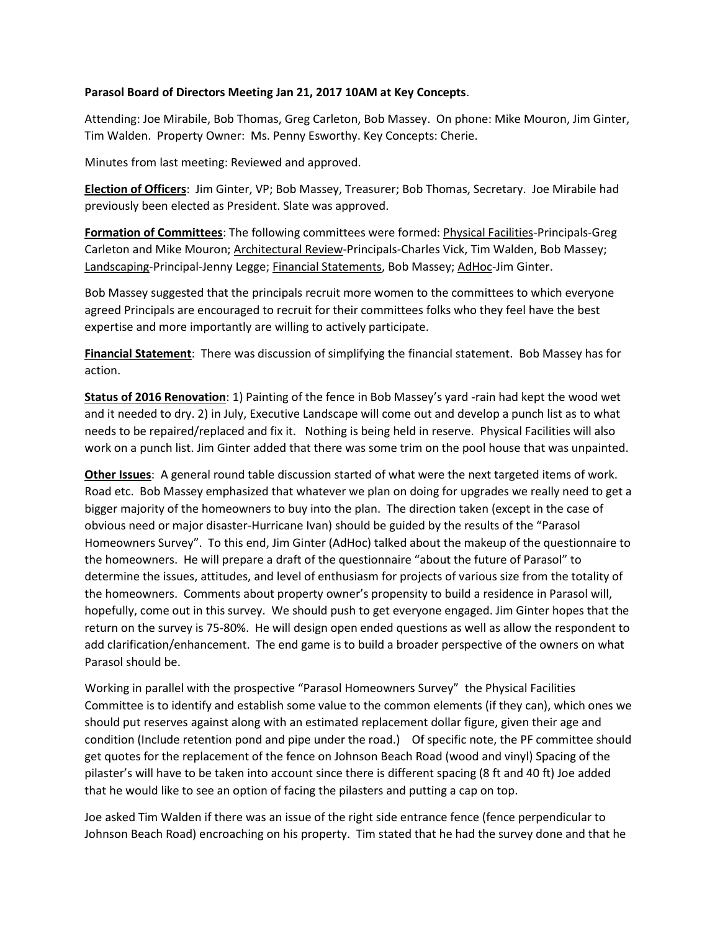## **Parasol Board of Directors Meeting Jan 21, 2017 10AM at Key Concepts**.

Attending: Joe Mirabile, Bob Thomas, Greg Carleton, Bob Massey. On phone: Mike Mouron, Jim Ginter, Tim Walden. Property Owner: Ms. Penny Esworthy. Key Concepts: Cherie.

Minutes from last meeting: Reviewed and approved.

**Election of Officers**: Jim Ginter, VP; Bob Massey, Treasurer; Bob Thomas, Secretary. Joe Mirabile had previously been elected as President. Slate was approved.

**Formation of Committees**: The following committees were formed: Physical Facilities-Principals-Greg Carleton and Mike Mouron; Architectural Review-Principals-Charles Vick, Tim Walden, Bob Massey; Landscaping-Principal-Jenny Legge; Financial Statements, Bob Massey; AdHoc-Jim Ginter.

Bob Massey suggested that the principals recruit more women to the committees to which everyone agreed Principals are encouraged to recruit for their committees folks who they feel have the best expertise and more importantly are willing to actively participate.

**Financial Statement**: There was discussion of simplifying the financial statement. Bob Massey has for action.

**Status of 2016 Renovation**: 1) Painting of the fence in Bob Massey's yard -rain had kept the wood wet and it needed to dry. 2) in July, Executive Landscape will come out and develop a punch list as to what needs to be repaired/replaced and fix it. Nothing is being held in reserve. Physical Facilities will also work on a punch list. Jim Ginter added that there was some trim on the pool house that was unpainted.

**Other Issues**: A general round table discussion started of what were the next targeted items of work. Road etc. Bob Massey emphasized that whatever we plan on doing for upgrades we really need to get a bigger majority of the homeowners to buy into the plan. The direction taken (except in the case of obvious need or major disaster-Hurricane Ivan) should be guided by the results of the "Parasol Homeowners Survey". To this end, Jim Ginter (AdHoc) talked about the makeup of the questionnaire to the homeowners. He will prepare a draft of the questionnaire "about the future of Parasol" to determine the issues, attitudes, and level of enthusiasm for projects of various size from the totality of the homeowners. Comments about property owner's propensity to build a residence in Parasol will, hopefully, come out in this survey. We should push to get everyone engaged. Jim Ginter hopes that the return on the survey is 75-80%. He will design open ended questions as well as allow the respondent to add clarification/enhancement. The end game is to build a broader perspective of the owners on what Parasol should be.

Working in parallel with the prospective "Parasol Homeowners Survey" the Physical Facilities Committee is to identify and establish some value to the common elements (if they can), which ones we should put reserves against along with an estimated replacement dollar figure, given their age and condition (Include retention pond and pipe under the road.) Of specific note, the PF committee should get quotes for the replacement of the fence on Johnson Beach Road (wood and vinyl) Spacing of the pilaster's will have to be taken into account since there is different spacing (8 ft and 40 ft) Joe added that he would like to see an option of facing the pilasters and putting a cap on top.

Joe asked Tim Walden if there was an issue of the right side entrance fence (fence perpendicular to Johnson Beach Road) encroaching on his property. Tim stated that he had the survey done and that he